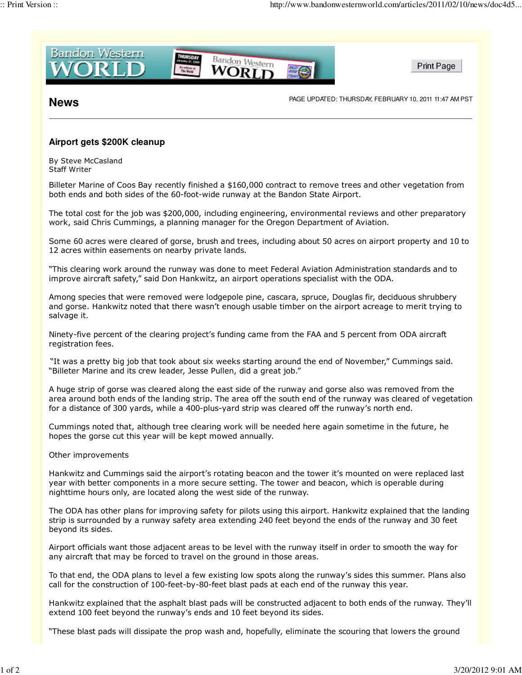

**News** PAGE UPDATED: THURSDAY, FEBRUARY 10, 2011 11:47 AM PST

## **Airport gets \$200K cleanup**

By Steve McCasland Staff Writer

Billeter Marine of Coos Bay recently finished a \$160,000 contract to remove trees and other vegetation from both ends and both sides of the 60-foot-wide runway at the Bandon State Airport.

The total cost for the job was \$200,000, including engineering, environmental reviews and other preparatory work, said Chris Cummings, a planning manager for the Oregon Department of Aviation.

Some 60 acres were cleared of gorse, brush and trees, including about 50 acres on airport property and 10 to 12 acres within easements on nearby private lands.

"This clearing work around the runway was done to meet Federal Aviation Administration standards and to improve aircraft safety," said Don Hankwitz, an airport operations specialist with the ODA.

Among species that were removed were lodgepole pine, cascara, spruce, Douglas fir, deciduous shrubbery and gorse. Hankwitz noted that there wasn't enough usable timber on the airport acreage to merit trying to salvage it.

Ninety-five percent of the clearing project's funding came from the FAA and 5 percent from ODA aircraft registration fees.

"It was a pretty big job that took about six weeks starting around the end of November," Cummings said. "Billeter Marine and its crew leader, Jesse Pullen, did a great job."

A huge strip of gorse was cleared along the east side of the runway and gorse also was removed from the area around both ends of the landing strip. The area off the south end of the runway was cleared of vegetation for a distance of 300 yards, while a 400-plus-yard strip was cleared off the runway's north end.

Cummings noted that, although tree clearing work will be needed here again sometime in the future, he hopes the gorse cut this year will be kept mowed annually.

Other improvements

Hankwitz and Cummings said the airport's rotating beacon and the tower it's mounted on were replaced last year with better components in a more secure setting. The tower and beacon, which is operable during nighttime hours only, are located along the west side of the runway.

The ODA has other plans for improving safety for pilots using this airport. Hankwitz explained that the landing strip is surrounded by a runway safety area extending 240 feet beyond the ends of the runway and 30 feet beyond its sides.

Airport officials want those adjacent areas to be level with the runway itself in order to smooth the way for any aircraft that may be forced to travel on the ground in those areas.

To that end, the ODA plans to level a few existing low spots along the runway's sides this summer. Plans also call for the construction of 100-feet-by-80-feet blast pads at each end of the runway this year.

Hankwitz explained that the asphalt blast pads will be constructed adjacent to both ends of the runway. They'll extend 100 feet beyond the runway's ends and 10 feet beyond its sides.

"These blast pads will dissipate the prop wash and, hopefully, eliminate the scouring that lowers the ground